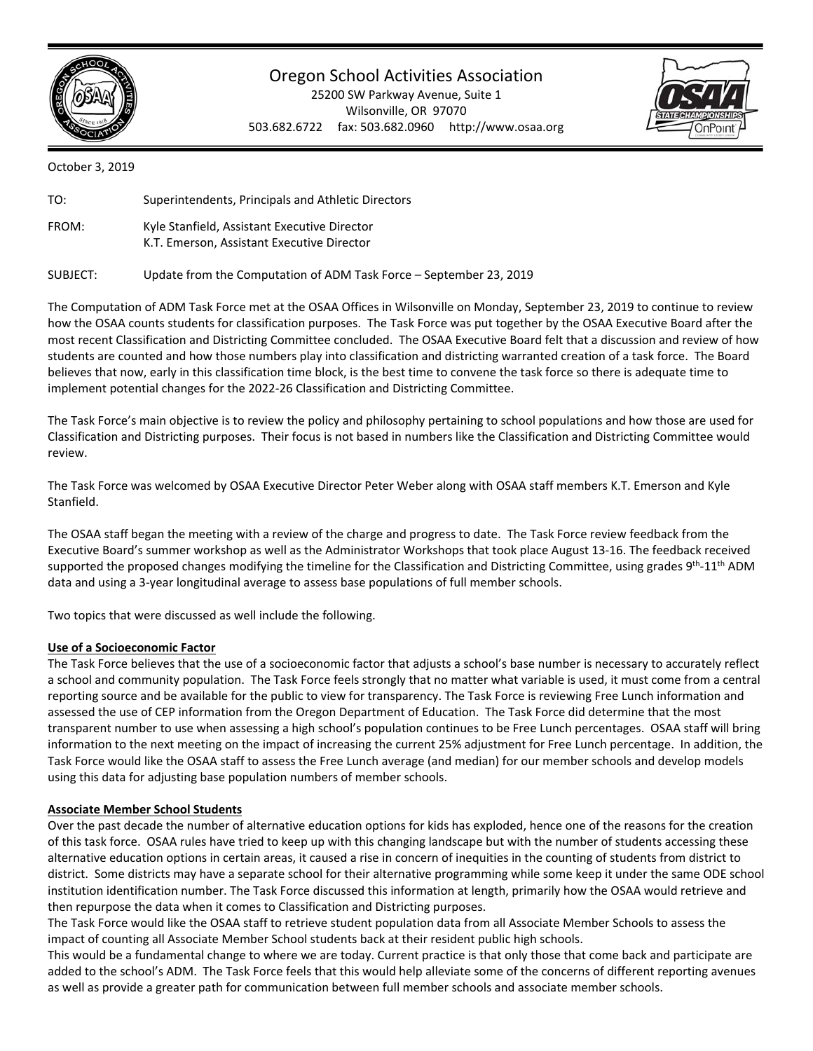

## Oregon School Activities Association

25200 SW Parkway Avenue, Suite 1 Wilsonville, OR 97070 503.682.6722 fax: 503.682.0960 http://www.osaa.org



October 3, 2019

| TO:   | Superintendents, Principals and Athletic Directors                                         |
|-------|--------------------------------------------------------------------------------------------|
| FROM: | Kyle Stanfield, Assistant Executive Director<br>K.T. Emerson, Assistant Executive Director |

SUBJECT: Update from the Computation of ADM Task Force – September 23, 2019

The Computation of ADM Task Force met at the OSAA Offices in Wilsonville on Monday, September 23, 2019 to continue to review how the OSAA counts students for classification purposes. The Task Force was put together by the OSAA Executive Board after the most recent Classification and Districting Committee concluded. The OSAA Executive Board felt that a discussion and review of how students are counted and how those numbers play into classification and districting warranted creation of a task force. The Board believes that now, early in this classification time block, is the best time to convene the task force so there is adequate time to implement potential changes for the 2022‐26 Classification and Districting Committee.

The Task Force's main objective is to review the policy and philosophy pertaining to school populations and how those are used for Classification and Districting purposes. Their focus is not based in numbers like the Classification and Districting Committee would review.

The Task Force was welcomed by OSAA Executive Director Peter Weber along with OSAA staff members K.T. Emerson and Kyle Stanfield.

The OSAA staff began the meeting with a review of the charge and progress to date. The Task Force review feedback from the Executive Board's summer workshop as well as the Administrator Workshops that took place August 13‐16. The feedback received supported the proposed changes modifying the timeline for the Classification and Districting Committee, using grades  $9<sup>th</sup>$ -11<sup>th</sup> ADM data and using a 3‐year longitudinal average to assess base populations of full member schools.

Two topics that were discussed as well include the following.

## **Use of a Socioeconomic Factor**

The Task Force believes that the use of a socioeconomic factor that adjusts a school's base number is necessary to accurately reflect a school and community population. The Task Force feels strongly that no matter what variable is used, it must come from a central reporting source and be available for the public to view for transparency. The Task Force is reviewing Free Lunch information and assessed the use of CEP information from the Oregon Department of Education. The Task Force did determine that the most transparent number to use when assessing a high school's population continues to be Free Lunch percentages. OSAA staff will bring information to the next meeting on the impact of increasing the current 25% adjustment for Free Lunch percentage. In addition, the Task Force would like the OSAA staff to assess the Free Lunch average (and median) for our member schools and develop models using this data for adjusting base population numbers of member schools.

## **Associate Member School Students**

Over the past decade the number of alternative education options for kids has exploded, hence one of the reasons for the creation of this task force. OSAA rules have tried to keep up with this changing landscape but with the number of students accessing these alternative education options in certain areas, it caused a rise in concern of inequities in the counting of students from district to district. Some districts may have a separate school for their alternative programming while some keep it under the same ODE school institution identification number. The Task Force discussed this information at length, primarily how the OSAA would retrieve and then repurpose the data when it comes to Classification and Districting purposes.

The Task Force would like the OSAA staff to retrieve student population data from all Associate Member Schools to assess the impact of counting all Associate Member School students back at their resident public high schools.

This would be a fundamental change to where we are today. Current practice is that only those that come back and participate are added to the school's ADM. The Task Force feels that this would help alleviate some of the concerns of different reporting avenues as well as provide a greater path for communication between full member schools and associate member schools.